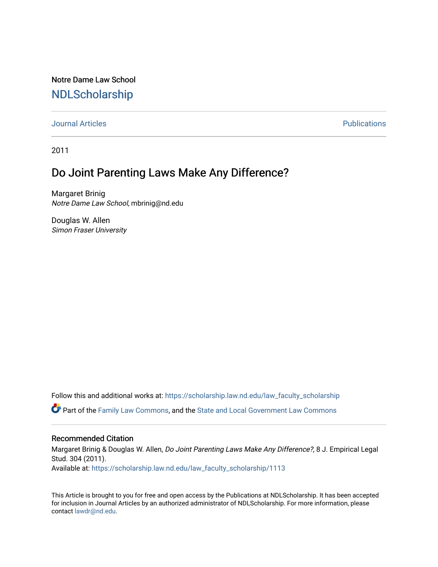Notre Dame Law School [NDLScholarship](https://scholarship.law.nd.edu/)

**Journal Articles Publications** 

2011

# Do Joint Parenting Laws Make Any Difference?

Margaret Brinig Notre Dame Law School, mbrinig@nd.edu

Douglas W. Allen Simon Fraser University

Follow this and additional works at: [https://scholarship.law.nd.edu/law\\_faculty\\_scholarship](https://scholarship.law.nd.edu/law_faculty_scholarship?utm_source=scholarship.law.nd.edu%2Flaw_faculty_scholarship%2F1113&utm_medium=PDF&utm_campaign=PDFCoverPages)

Part of the [Family Law Commons,](http://network.bepress.com/hgg/discipline/602?utm_source=scholarship.law.nd.edu%2Flaw_faculty_scholarship%2F1113&utm_medium=PDF&utm_campaign=PDFCoverPages) and the [State and Local Government Law Commons](http://network.bepress.com/hgg/discipline/879?utm_source=scholarship.law.nd.edu%2Flaw_faculty_scholarship%2F1113&utm_medium=PDF&utm_campaign=PDFCoverPages) 

# Recommended Citation

Margaret Brinig & Douglas W. Allen, Do Joint Parenting Laws Make Any Difference?, 8 J. Empirical Legal Stud. 304 (2011). Available at: [https://scholarship.law.nd.edu/law\\_faculty\\_scholarship/1113](https://scholarship.law.nd.edu/law_faculty_scholarship/1113?utm_source=scholarship.law.nd.edu%2Flaw_faculty_scholarship%2F1113&utm_medium=PDF&utm_campaign=PDFCoverPages) 

This Article is brought to you for free and open access by the Publications at NDLScholarship. It has been accepted for inclusion in Journal Articles by an authorized administrator of NDLScholarship. For more information, please contact [lawdr@nd.edu.](mailto:lawdr@nd.edu)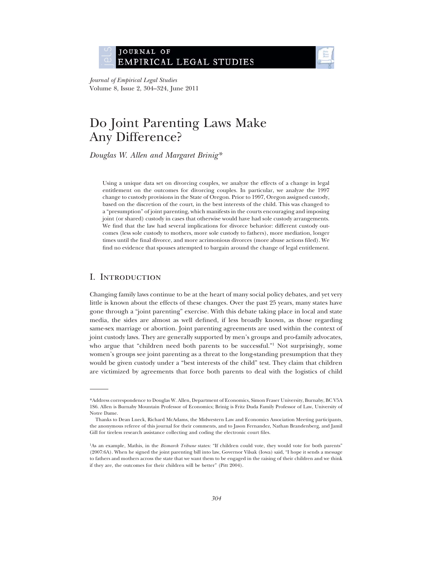

*Journal of Empirical Legal Studies* Volume 8, Issue 2, 304–324, June 2011

# Do Joint Parenting Laws Make Any Difference?

*Douglas W. Allen and Margaret Brinig\**

Using a unique data set on divorcing couples, we analyze the effects of a change in legal entitlement on the outcomes for divorcing couples. In particular, we analyze the 1997 change to custody provisions in the State of Oregon. Prior to 1997, Oregon assigned custody, based on the discretion of the court, in the best interests of the child. This was changed to a "presumption" of joint parenting, which manifests in the courts encouraging and imposing joint (or shared) custody in cases that otherwise would have had sole custody arrangements. We find that the law had several implications for divorce behavior: different custody outcomes (less sole custody to mothers, more sole custody to fathers), more mediation, longer times until the final divorce, and more acrimonious divorces (more abuse actions filed). We find no evidence that spouses attempted to bargain around the change of legal entitlement.

# I. Introduction

Changing family laws continue to be at the heart of many social policy debates, and yet very little is known about the effects of these changes. Over the past 25 years, many states have gone through a "joint parenting" exercise. With this debate taking place in local and state media, the sides are almost as well defined, if less broadly known, as those regarding same-sex marriage or abortion. Joint parenting agreements are used within the context of joint custody laws. They are generally supported by men's groups and pro-family advocates, who argue that "children need both parents to be successful."1 Not surprisingly, some women's groups see joint parenting as a threat to the long-standing presumption that they would be given custody under a "best interests of the child" test. They claim that children are victimized by agreements that force both parents to deal with the logistics of child

<sup>\*</sup>Address correspondence to Douglas W. Allen, Department of Economics, Simon Fraser University, Burnaby, BC V5A 1S6. Allen is Burnaby Mountain Professor of Economics; Brinig is Fritz Duda Family Professor of Law, University of Notre Dame.

Thanks to Dean Lueck, Richard McAdams, the Midwestern Law and Economics Association Meeting participants, the anonymous referee of this journal for their comments, and to Jason Fernandez, Nathan Brandenberg, and Jamil Gill for tireless research assistance collecting and coding the electronic court files.

<sup>&</sup>lt;sup>1</sup>As an example, Mathis, in the *Bismarck Tribune* states: "If children could vote, they would vote for both parents" (2007:6A). When he signed the joint parenting bill into law, Governor Vilsak (Iowa) said, "I hope it sends a message to fathers and mothers across the state that we want them to be engaged in the raising of their children and we think if they are, the outcomes for their children will be better" (Pitt 2004).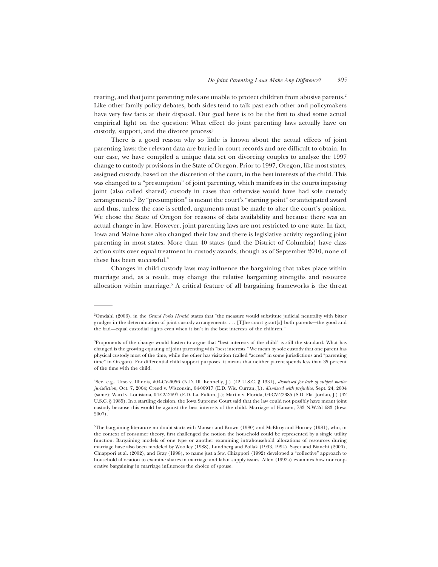rearing, and that joint parenting rules are unable to protect children from abusive parents.2 Like other family policy debates, both sides tend to talk past each other and policymakers have very few facts at their disposal. Our goal here is to be the first to shed some actual empirical light on the question: What effect do joint parenting laws actually have on custody, support, and the divorce process?

There is a good reason why so little is known about the actual effects of joint parenting laws: the relevant data are buried in court records and are difficult to obtain. In our case, we have compiled a unique data set on divorcing couples to analyze the 1997 change to custody provisions in the State of Oregon. Prior to 1997, Oregon, like most states, assigned custody, based on the discretion of the court, in the best interests of the child. This was changed to a "presumption" of joint parenting, which manifests in the courts imposing joint (also called shared) custody in cases that otherwise would have had sole custody arrangements.3 By "presumption" is meant the court's "starting point" or anticipated award and thus, unless the case is settled, arguments must be made to alter the court's position. We chose the State of Oregon for reasons of data availability and because there was an actual change in law. However, joint parenting laws are not restricted to one state. In fact, Iowa and Maine have also changed their law and there is legislative activity regarding joint parenting in most states. More than 40 states (and the District of Columbia) have class action suits over equal treatment in custody awards, though as of September 2010, none of these has been successful.4

Changes in child custody laws may influence the bargaining that takes place within marriage and, as a result, may change the relative bargaining strengths and resource allocation within marriage.<sup>5</sup> A critical feature of all bargaining frameworks is the threat

<sup>2</sup> Omdahl (2006), in the *Grand Forks Herald*, states that "the measure would substitute judicial neutrality with bitter grudges in the determination of joint custody arrangements.... [T]he court grant[s] both parents—the good and the bad—equal custodial rights even when it isn't in the best interests of the children."

<sup>3</sup> Proponents of the change would hasten to argue that "best interests of the child" is still the standard. What has changed is the growing equating of joint parenting with "best interests." We mean by sole custody that one parent has physical custody most of the time, while the other has visitation (called "access" in some jurisdictions and "parenting time" in Oregon). For differential child support purposes, it means that neither parent spends less than 35 percent of the time with the child.

<sup>4</sup> See, e.g., Urso v. Illinois, #04-CV-6056 (N.D. Ill. Kennelly, J.) (42 U.S.C. § 1331), *dismissed for lack of subject matter jurisdiction*, Oct. 7, 2004; Creed v. Wisconsin, 04-00917 (E.D. Wis. Curran, J.), *dismissed with prejudice*, Sept. 24, 2004 (same); Ward v. Louisiana, 04-CV-2697 (E.D. La. Fulton, J.); Martin v. Florida, 04-CV-22385 (S.D. Fla. Jordan, J.) (42 U.S.C. § 1985). In a startling decision, the Iowa Supreme Court said that the law could not possibly have meant joint custody because this would be against the best interests of the child. Marriage of Hansen, 733 N.W.2d 683 (Iowa 2007).

<sup>5</sup> The bargaining literature no doubt starts with Manser and Brown (1980) and McElroy and Horney (1981), who, in the context of consumer theory, first challenged the notion the household could be represented by a single utility function. Bargaining models of one type or another examining intrahousehold allocations of resources during marriage have also been modeled by Woolley (1988), Lundberg and Pollak (1993, 1994), Sayer and Bianchi (2000), Chiappori et al. (2002), and Gray (1998), to name just a few. Chiappori (1992) developed a "collective" approach to household allocation to examine shares in marriage and labor supply issues. Allen (1992a) examines how noncooperative bargaining in marriage influences the choice of spouse.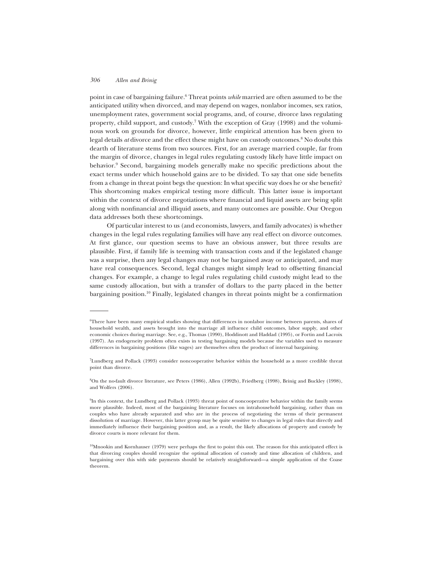point in case of bargaining failure.6 Threat points *while* married are often assumed to be the anticipated utility when divorced, and may depend on wages, nonlabor incomes, sex ratios, unemployment rates, government social programs, and, of course, divorce laws regulating property, child support, and custody.7 With the exception of Gray (1998) and the voluminous work on grounds for divorce, however, little empirical attention has been given to legal details *at* divorce and the effect these might have on custody outcomes.<sup>8</sup> No doubt this dearth of literature stems from two sources. First, for an average married couple, far from the margin of divorce, changes in legal rules regulating custody likely have little impact on behavior.9 Second, bargaining models generally make no specific predictions about the exact terms under which household gains are to be divided. To say that one side benefits from a change in threat point begs the question: In what specific way does he or she benefit? This shortcoming makes empirical testing more difficult. This latter issue is important within the context of divorce negotiations where financial and liquid assets are being split along with nonfinancial and illiquid assets, and many outcomes are possible. Our Oregon data addresses both these shortcomings.

Of particular interest to us (and economists, lawyers, and family advocates) is whether changes in the legal rules regulating families will have any real effect on divorce outcomes. At first glance, our question seems to have an obvious answer, but three results are plausible. First, if family life is teeming with transaction costs and if the legislated change was a surprise, then any legal changes may not be bargained away or anticipated, and may have real consequences. Second, legal changes might simply lead to offsetting financial changes. For example, a change to legal rules regulating child custody might lead to the same custody allocation, but with a transfer of dollars to the party placed in the better bargaining position.10 Finally, legislated changes in threat points might be a confirmation

<sup>6</sup> There have been many empirical studies showing that differences in nonlabor income between parents, shares of household wealth, and assets brought into the marriage all influence child outcomes, labor supply, and other economic choices during marriage. See, e.g., Thomas (1990), Hoddinott and Haddad (1995), or Fortin and Lacroix (1997). An endogeneity problem often exists in testing bargaining models because the variables used to measure differences in bargaining positions (like wages) are themselves often the product of internal bargaining.

<sup>7</sup> Lundberg and Pollack (1993) consider noncooperative behavior within the household as a more credible threat point than divorce.

<sup>8</sup> On the no-fault divorce literature, see Peters (1986), Allen (1992b), Friedberg (1998), Brinig and Buckley (1998), and Wolfers (2006).

<sup>&</sup>lt;sup>9</sup>In this context, the Lundberg and Pollack (1993) threat point of noncooperative behavior within the family seems more plausible. Indeed, most of the bargaining literature focuses on intrahousehold bargaining, rather than on couples who have already separated and who are in the process of negotiating the terms of their permanent dissolution of marriage. However, this latter group may be quite sensitive to changes in legal rules that directly and immediately influence their bargaining position and, as a result, the likely allocations of property and custody by divorce courts is more relevant for them.

<sup>10</sup>Mnookin and Kornhauser (1979) were perhaps the first to point this out. The reason for this anticipated effect is that divorcing couples should recognize the optimal allocation of custody and time allocation of children, and bargaining over this with side payments should be relatively straightforward—a simple application of the Coase theorem.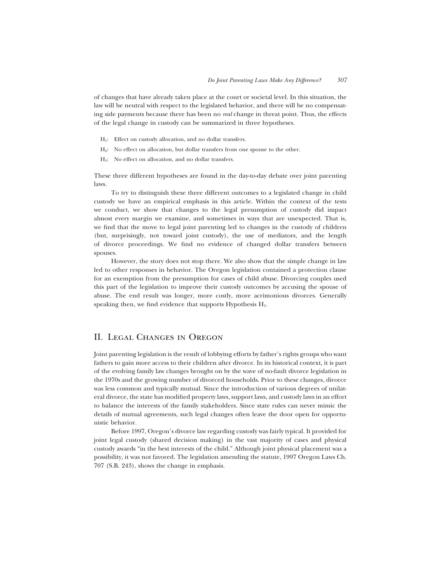of changes that have already taken place at the court or societal level. In this situation, the law will be neutral with respect to the legislated behavior, and there will be no compensating side payments because there has been no *real* change in threat point. Thus, the effects of the legal change in custody can be summarized in three hypotheses.

- H1: Effect on custody allocation, and no dollar transfers.
- H2: No effect on allocation, but dollar transfers from one spouse to the other.
- H3: No effect on allocation, and no dollar transfers.

These three different hypotheses are found in the day-to-day debate over joint parenting laws.

To try to distinguish these three different outcomes to a legislated change in child custody we have an empirical emphasis in this article. Within the context of the tests we conduct, we show that changes to the legal presumption of custody did impact almost every margin we examine, and sometimes in ways that are unexpected. That is, we find that the move to legal joint parenting led to changes in the custody of children (but, surprisingly, not toward joint custody), the use of mediators, and the length of divorce proceedings. We find no evidence of changed dollar transfers between spouses.

However, the story does not stop there. We also show that the simple change in law led to other responses in behavior. The Oregon legislation contained a protection clause for an exemption from the presumption for cases of child abuse. Divorcing couples used this part of the legislation to improve their custody outcomes by accusing the spouse of abuse. The end result was longer, more costly, more acrimonious divorces. Generally speaking then, we find evidence that supports Hypothesis  $H_1$ .

# II. Legal Changes in Oregon

Joint parenting legislation is the result of lobbying efforts by father's rights groups who want fathers to gain more access to their children after divorce. In its historical context, it is part of the evolving family law changes brought on by the wave of no-fault divorce legislation in the 1970s and the growing number of divorced households. Prior to these changes, divorce was less common and typically mutual. Since the introduction of various degrees of unilateral divorce, the state has modified property laws, support laws, and custody laws in an effort to balance the interests of the family stakeholders. Since state rules can never mimic the details of mutual agreements, such legal changes often leave the door open for opportunistic behavior.

Before 1997, Oregon's divorce law regarding custody was fairly typical. It provided for joint legal custody (shared decision making) in the vast majority of cases and physical custody awards "in the best interests of the child." Although joint physical placement was a possibility, it was not favored. The legislation amending the statute, 1997 Oregon Laws Ch. 707 (S.B. 243), shows the change in emphasis.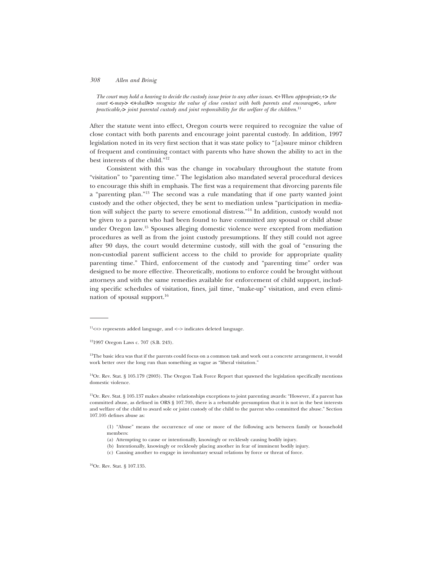*The court may hold a hearing to decide the custody issue prior to any other issues.* <+*When appropriate,*+> *the court* <**-***may***-**> <+*shall*+> *recognize the value of close contact with both parents and encourage*<**-***, where practicable,***-**> *joint parental custody and joint responsibility for the welfare of the children.*<sup>11</sup>

After the statute went into effect, Oregon courts were required to recognize the value of close contact with both parents and encourage joint parental custody. In addition, 1997 legislation noted in its very first section that it was state policy to "[a]ssure minor children of frequent and continuing contact with parents who have shown the ability to act in the best interests of the child."12

Consistent with this was the change in vocabulary throughout the statute from "visitation" to "parenting time." The legislation also mandated several procedural devices to encourage this shift in emphasis. The first was a requirement that divorcing parents file a "parenting plan."13 The second was a rule mandating that if one party wanted joint custody and the other objected, they be sent to mediation unless "participation in mediation will subject the party to severe emotional distress."14 In addition, custody would not be given to a parent who had been found to have committed any spousal or child abuse under Oregon law.15 Spouses alleging domestic violence were excepted from mediation procedures as well as from the joint custody presumptions. If they still could not agree after 90 days, the court would determine custody, still with the goal of "ensuring the non-custodial parent sufficient access to the child to provide for appropriate quality parenting time." Third, enforcement of the custody and "parenting time" order was designed to be more effective. Theoretically, motions to enforce could be brought without attorneys and with the same remedies available for enforcement of child support, including specific schedules of visitation, fines, jail time, "make-up" visitation, and even elimination of spousal support.<sup>16</sup>

16Or. Rev. Stat. § 107.135.

 $11$  <  $\rightarrow$  represents added language, and <  $\rightarrow$  indicates deleted language.

<sup>121997</sup> Oregon Laws c. 707 (S.B. 243).

<sup>&</sup>lt;sup>13</sup>The basic idea was that if the parents could focus on a common task and work out a concrete arrangement, it would work better over the long run than something as vague as "liberal visitation."

<sup>&</sup>lt;sup>14</sup>Or. Rev. Stat. § 105.179 (2003). The Oregon Task Force Report that spawned the legislation specifically mentions domestic violence.

<sup>15</sup>Or. Rev. Stat. § 105.137 makes abusive relationships exceptions to joint parenting awards: "However, if a parent has committed abuse, as defined in ORS § 107.705, there is a rebuttable presumption that it is not in the best interests and welfare of the child to award sole or joint custody of the child to the parent who committed the abuse." Section 107.105 defines abuse as:

<sup>(1) &</sup>quot;Abuse" means the occurrence of one or more of the following acts between family or household members:

<sup>(</sup>a) Attempting to cause or intentionally, knowingly or recklessly causing bodily injury.

<sup>(</sup>b) Intentionally, knowingly or recklessly placing another in fear of imminent bodily injury.

<sup>(</sup>c) Causing another to engage in involuntary sexual relations by force or threat of force.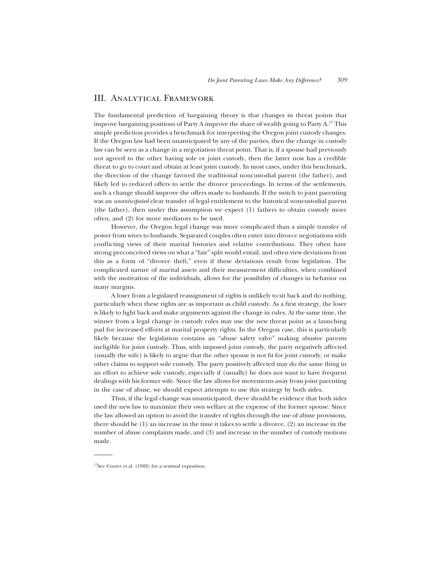# III. Analytical Framework

The fundamental prediction of bargaining theory is that changes in threat points that improve bargaining positions of Party A improve the share of wealth going to Party  $A<sup>17</sup>$  This simple prediction provides a benchmark for interpreting the Oregon joint custody changes. If the Oregon law had been unanticipated by any of the parties, then the change in custody law can be seen as a change in a negotiation threat point. That is, if a spouse had previously not agreed to the other having sole or joint custody, then the latter now has a credible threat to go to court and obtain at least joint custody. In most cases, under this benchmark, the direction of the change favored the traditional noncustodial parent (the father), and likely led to reduced offers to settle the divorce proceedings. In terms of the settlements, such a change should improve the offers made to husbands. If the switch to joint parenting was an *unanticipated* clear transfer of legal entitlement to the historical noncustodial parent (the father), then under this assumption we expect (1) fathers to obtain custody more often, and (2) for more mediators to be used.

However, the Oregon legal change was more complicated than a simple transfer of power from wives to husbands. Separated couples often enter into divorce negotiations with conflicting views of their marital histories and relative contributions. They often have strong preconceived views on what a "fair" split would entail, and often view deviations from this as a form of "divorce theft," even if these deviations result from legislation. The complicated nature of marital assets and their measurement difficulties, when combined with the motivation of the individuals, allows for the possibility of changes in behavior on many margins.

A loser from a legislated reassignment of rights is unlikely to sit back and do nothing, particularly when these rights are as important as child custody. As a first strategy, the loser is likely to fight back and make arguments against the change in rules. At the same time, the winner from a legal change in custody rules may use the new threat point as a launching pad for increased efforts at marital property rights. In the Oregon case, this is particularly likely because the legislation contains an "abuse safety valve" making abusive parents ineligible for joint custody. Thus, with imposed joint custody, the party negatively affected (usually the wife) is likely to argue that the other spouse is not fit for joint custody, or make other claims to support sole custody. The party positively affected may do the same thing in an effort to achieve sole custody, especially if (usually) he does not want to have frequent dealings with his former wife. Since the law allows for movements away from joint parenting in the case of abuse, we should expect attempts to use this strategy by both sides.

Thus, if the legal change was unanticipated, there should be evidence that both sides used the new law to maximize their own welfare at the expense of the former spouse. Since the law allowed an option to avoid the transfer of rights through the use of abuse provisions, there should be (1) an increase in the time it takes to settle a divorce, (2) an increase in the number of abuse complaints made, and (3) and increase in the number of custody motions made.

<sup>17</sup>See Cooter et al. (1982) for a seminal exposition.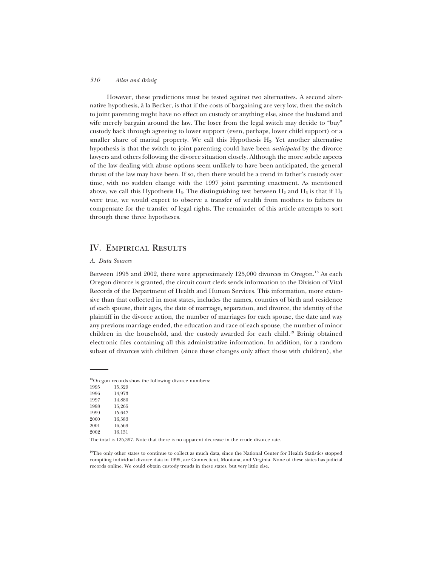However, these predictions must be tested against two alternatives. A second alternative hypothesis, à la Becker, is that if the costs of bargaining are very low, then the switch to joint parenting might have no effect on custody or anything else, since the husband and wife merely bargain around the law. The loser from the legal switch may decide to "buy" custody back through agreeing to lower support (even, perhaps, lower child support) or a smaller share of marital property. We call this Hypothesis  $H<sub>2</sub>$ . Yet another alternative hypothesis is that the switch to joint parenting could have been *anticipated* by the divorce lawyers and others following the divorce situation closely. Although the more subtle aspects of the law dealing with abuse options seem unlikely to have been anticipated, the general thrust of the law may have been. If so, then there would be a trend in father's custody over time, with no sudden change with the 1997 joint parenting enactment. As mentioned above, we call this Hypothesis H<sub>3</sub>. The distinguishing test between H<sub>2</sub> and H<sub>3</sub> is that if H<sub>2</sub> were true, we would expect to observe a transfer of wealth from mothers to fathers to compensate for the transfer of legal rights. The remainder of this article attempts to sort through these three hypotheses.

# IV. Empirical Results

#### *A. Data Sources*

Between 1995 and 2002, there were approximately 125,000 divorces in Oregon.<sup>18</sup> As each Oregon divorce is granted, the circuit court clerk sends information to the Division of Vital Records of the Department of Health and Human Services. This information, more extensive than that collected in most states, includes the names, counties of birth and residence of each spouse, their ages, the date of marriage, separation, and divorce, the identity of the plaintiff in the divorce action, the number of marriages for each spouse, the date and way any previous marriage ended, the education and race of each spouse, the number of minor children in the household, and the custody awarded for each child.19 Brinig obtained electronic files containing all this administrative information. In addition, for a random subset of divorces with children (since these changes only affect those with children), she

|      |        | <sup>18</sup> Oregon records show the following divorce numbers: |
|------|--------|------------------------------------------------------------------|
| 1995 | 15,329 |                                                                  |
| 1996 | 14.973 |                                                                  |
| 1997 | 14,880 |                                                                  |
| 1998 | 15.265 |                                                                  |
| 1999 | 15.647 |                                                                  |
| 2000 | 16,583 |                                                                  |
| 2001 | 16,569 |                                                                  |
| 2002 | 16,151 |                                                                  |

The total is 125,397. Note that there is no apparent decrease in the crude divorce rate.

<sup>19</sup>The only other states to continue to collect as much data, since the National Center for Health Statistics stopped compiling individual divorce data in 1995, are Connecticut, Montana, and Virginia. None of these states has judicial records online. We could obtain custody trends in these states, but very little else.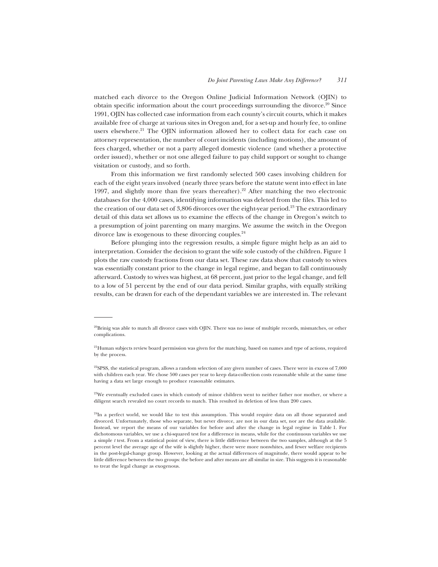matched each divorce to the Oregon Online Judicial Information Network (OJIN) to obtain specific information about the court proceedings surrounding the divorce.20 Since 1991, OJIN has collected case information from each county's circuit courts, which it makes available free of charge at various sites in Oregon and, for a set-up and hourly fee, to online users elsewhere.<sup>21</sup> The OJIN information allowed her to collect data for each case on attorney representation, the number of court incidents (including motions), the amount of fees charged, whether or not a party alleged domestic violence (and whether a protective order issued), whether or not one alleged failure to pay child support or sought to change visitation or custody, and so forth.

From this information we first randomly selected 500 cases involving children for each of the eight years involved (nearly three years before the statute went into effect in late 1997, and slightly more than five years thereafter).<sup>22</sup> After matching the two electronic databases for the 4,000 cases, identifying information was deleted from the files. This led to the creation of our data set of 3,806 divorces over the eight-year period.23 The extraordinary detail of this data set allows us to examine the effects of the change in Oregon's switch to a presumption of joint parenting on many margins. We assume the switch in the Oregon divorce law is exogenous to these divorcing couples. $24$ 

Before plunging into the regression results, a simple figure might help as an aid to interpretation. Consider the decision to grant the wife sole custody of the children. Figure 1 plots the raw custody fractions from our data set. These raw data show that custody to wives was essentially constant prior to the change in legal regime, and began to fall continuously afterward. Custody to wives was highest, at 68 percent, just prior to the legal change, and fell to a low of 51 percent by the end of our data period. Similar graphs, with equally striking results, can be drawn for each of the dependant variables we are interested in. The relevant

<sup>&</sup>lt;sup>20</sup>Brinig was able to match all divorce cases with OJIN. There was no issue of multiple records, mismatches, or other complications.

<sup>&</sup>lt;sup>21</sup>Human subjects review board permission was given for the matching, based on names and type of actions, required by the process.

<sup>&</sup>lt;sup>22</sup>SPSS, the statistical program, allows a random selection of any given number of cases. There were in excess of 7,000 with children each year. We chose 500 cases per year to keep data-collection costs reasonable while at the same time having a data set large enough to produce reasonable estimates.

<sup>&</sup>lt;sup>23</sup>We eventually excluded cases in which custody of minor children went to neither father nor mother, or where a diligent search revealed no court records to match. This resulted in deletion of less than 200 cases.

<sup>&</sup>lt;sup>24</sup>In a perfect world, we would like to test this assumption. This would require data on all those separated and divorced. Unfortunately, those who separate, but never divorce, are not in our data set, nor are the data available. Instead, we report the means of our variables for before and after the change in legal regime in Table 1. For dichotomous variables, we use a chi-squared test for a difference in means, while for the continuous variables we use a simple *t* test. From a statistical point of view, there is little difference between the two samples, although at the 5 percent level the average age of the wife is slightly higher, there were more nonwhites, and fewer welfare recipients in the post-legal-change group. However, looking at the actual differences of magnitude, there would appear to be little difference between the two groups: the before and after means are all similar in size. This suggests it is reasonable to treat the legal change as exogenous.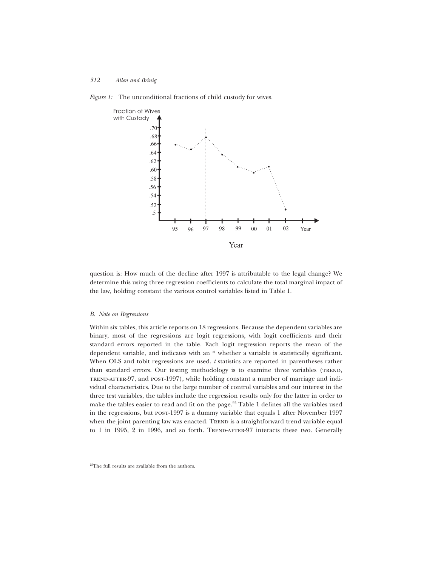

*Figure 1:* The unconditional fractions of child custody for wives.

question is: How much of the decline after 1997 is attributable to the legal change? We determine this using three regression coefficients to calculate the total marginal impact of the law, holding constant the various control variables listed in Table 1.

## *B. Note on Regressions*

Within six tables, this article reports on 18 regressions. Because the dependent variables are binary, most of the regressions are logit regressions, with logit coefficients and their standard errors reported in the table. Each logit regression reports the mean of the dependent variable, and indicates with an \* whether a variable is statistically significant. When OLS and tobit regressions are used, *t* statistics are reported in parentheses rather than standard errors. Our testing methodology is to examine three variables (TREND, trend-after-97, and post-1997), while holding constant a number of marriage and individual characteristics. Due to the large number of control variables and our interest in the three test variables, the tables include the regression results only for the latter in order to make the tables easier to read and fit on the page.<sup>25</sup> Table 1 defines all the variables used in the regressions, but post-1997 is a dummy variable that equals 1 after November 1997 when the joint parenting law was enacted. TREND is a straightforward trend variable equal to  $1$  in 1995,  $2$  in 1996, and so forth. TREND-AFTER-97 interacts these two. Generally

<sup>&</sup>lt;sup>25</sup>The full results are available from the authors.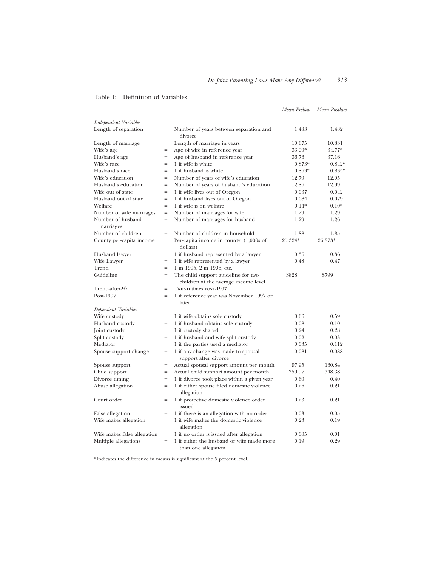| Table 1: | Definition of Variables |  |
|----------|-------------------------|--|
|          |                         |  |

|                                |                   |                                                                             | Mean Prelaw | Mean Postlaw |
|--------------------------------|-------------------|-----------------------------------------------------------------------------|-------------|--------------|
| Independent Variables          |                   |                                                                             |             |              |
| Length of separation           | $\qquad \qquad =$ | Number of years between separation and<br>divorce                           | 1.483       | 1.482        |
| Length of marriage             | $\quad =$         | Length of marriage in years                                                 | 10.675      | 10.831       |
| Wife's age                     | $=$               | Age of wife in reference year                                               | 33.90*      | 34.77*       |
| Husband's age                  | $\qquad \qquad =$ | Age of husband in reference year                                            | 36.76       | 37.16        |
| Wife's race                    | $=$               | 1 if wife is white                                                          | $0.873*$    | $0.842*$     |
| Husband's race                 | $=$               | 1 if husband is white                                                       | $0.863*$    | $0.835*$     |
| Wife's education               | $=$               | Number of years of wife's education                                         | 12.79       | 12.95        |
| Husband's education            | $=$               | Number of years of husband's education                                      | 12.86       | 12.99        |
| Wife out of state              | $=$               | 1 if wife lives out of Oregon                                               | 0.037       | 0.042        |
| Husband out of state           | $\qquad \qquad =$ | 1 if husband lives out of Oregon                                            | 0.084       | 0.079        |
| Welfare                        | $=$               | 1 if wife is on welfare                                                     | $0.14*$     | $0.10*$      |
| Number of wife marriages       | $\qquad \qquad =$ | Number of marriages for wife                                                | 1.29        | 1.29         |
| Number of husband<br>marriages | $=$               | Number of marriages for husband                                             | 1.29        | 1.26         |
| Number of children             | $=$               | Number of children in household                                             | 1.88        | 1.85         |
| County per-capita income       | $=$               | Per-capita income in county. $(1,000s)$ of<br>dollars)                      | 25,324*     | 26,873*      |
| Husband lawyer                 | $=$               | 1 if husband represented by a lawyer                                        | 0.36        | 0.36         |
| Wife Lawyer                    | $=$               | 1 if wife represented by a lawyer                                           | 0.48        | 0.47         |
| Trend                          | $=$               | 1 in 1995, 2 in 1996, etc.                                                  |             |              |
| Guideline                      | $=$               | The child support guideline for two<br>children at the average income level | \$828       | \$799        |
| Trend-after-97                 | $\qquad \qquad =$ | TREND times POST-1997                                                       |             |              |
| Post-1997                      | $=$               | 1 if reference year was November 1997 or                                    |             |              |
|                                |                   | later                                                                       |             |              |
| Dependent Variables            |                   |                                                                             |             |              |
| Wife custody                   | $\qquad \qquad =$ | 1 if wife obtains sole custody                                              | 0.66        | 0.59         |
| Husband custody                | $\qquad \qquad =$ | 1 if husband obtains sole custody                                           | 0.08        | 0.10         |
| Joint custody                  | $=$               | 1 if custody shared                                                         | 0.24        | 0.28         |
| Split custody                  | $=$               | 1 if husband and wife split custody                                         | 0.02        | 0.03         |
| Mediator                       | $=$               | 1 if the parties used a mediator                                            | 0.035       | 0.112        |
| Spouse support change          | $\quad =$         | 1 if any change was made to spousal<br>support after divorce                | 0.081       | 0.088        |
| Spouse support                 | $\qquad \qquad =$ | Actual spousal support amount per month                                     | 97.95       | 160.84       |
| Child support                  | $\qquad \qquad =$ | Actual child support amount per month                                       | 359.97      | 348.38       |
| Divorce timing                 | $\qquad \qquad =$ | 1 if divorce took place within a given year                                 | 0.60        | 0.40         |
| Abuse allegation               | $=$               | 1 if either spouse filed domestic violence<br>allegation                    | 0.26        | 0.21         |
| Court order                    | $\quad =$         | 1 if protective domestic violence order<br>issued                           | 0.23        | 0.21         |
| False allegation               | $\qquad \qquad =$ | 1 if there is an allegation with no order                                   | 0.03        | 0.05         |
| Wife makes allegation          | $\qquad \qquad =$ | 1 if wife makes the domestic violence<br>allegation                         | 0.23        | 0.19         |
| Wife makes false allegation    | $=$               | 1 if no order is issued after allegation                                    | 0.005       | 0.01         |
| Multiple allegations           | $=$               | 1 if either the husband or wife made more                                   | 0.19        | 0.29         |
|                                |                   | than one allegation                                                         |             |              |

\*Indicates the difference in means is significant at the 5 percent level.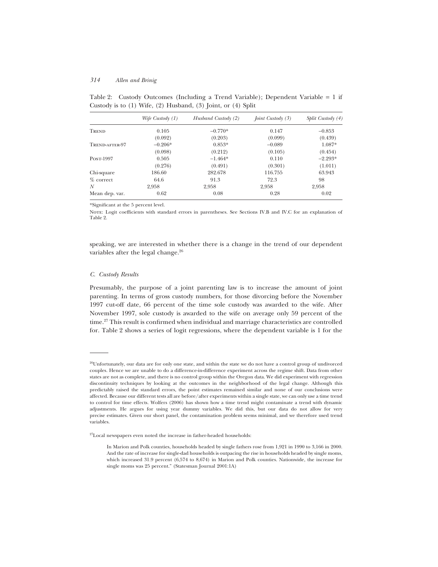Table 2: Custody Outcomes (Including a Trend Variable); Dependent Variable = 1 if Custody is to (1) Wife, (2) Husband, (3) Joint, or (4) Split

|                | Wife Custody $(1)$ | Husband Custody $(2)$ | <i>Joint Custody</i> $(3)$ | <i>Split Custody</i> $(4)$ |
|----------------|--------------------|-----------------------|----------------------------|----------------------------|
| TREND          | 0.105              | $-0.770*$             | 0.147                      | $-0.853$                   |
|                | (0.092)            | (0.203)               | (0.099)                    | (0.439)                    |
| TREND-AFTER-97 | $-0.206*$          | $0.853*$              | $-0.089$                   | $1.087*$                   |
|                | (0.098)            | (0.212)               | (0.105)                    | (0.454)                    |
| POST-1997      | 0.505              | $-1.464*$             | 0.110                      | $-2.293*$                  |
|                | (0.276)            | (0.491)               | (0.301)                    | (1.011)                    |
| Chi-square     | 186.60             | 282.678               | 116.755                    | 63.943                     |
| $\%$ correct   | 64.6               | 91.3                  | 72.3                       | 98                         |
| N              | 2,958              | 2,958                 | 2,958                      | 2,958                      |
| Mean dep. var. | 0.62               | 0.08                  | 0.28                       | 0.02                       |

\*Significant at the 5 percent level.

NOTE: Logit coefficients with standard errors in parentheses. See Sections IV.B and IV.C for an explanation of Table 2.

speaking, we are interested in whether there is a change in the trend of our dependent variables after the legal change.<sup>26</sup>

#### *C. Custody Results*

Presumably, the purpose of a joint parenting law is to increase the amount of joint parenting. In terms of gross custody numbers, for those divorcing before the November 1997 cut-off date, 66 percent of the time sole custody was awarded to the wife. After November 1997, sole custody is awarded to the wife on average only 59 percent of the time.<sup>27</sup> This result is confirmed when individual and marriage characteristics are controlled for. Table 2 shows a series of logit regressions, where the dependent variable is 1 for the

<sup>&</sup>lt;sup>26</sup>Unfortunately, our data are for only one state, and within the state we do not have a control group of undivorced couples. Hence we are unable to do a difference-in-difference experiment across the regime shift. Data from other states are not as complete, and there is no control group within the Oregon data. We did experiment with regression discontinuity techniques by looking at the outcomes in the neighborhood of the legal change. Although this predictably raised the standard errors, the point estimates remained similar and none of our conclusions were affected. Because our different tests all are before/after experiments within a single state, we can only use a time trend to control for time effects. Wolfers (2006) has shown how a time trend might contaminate a trend with dynamic adjustments. He argues for using year dummy variables. We did this, but our data do not allow for very precise estimates. Given our short panel, the contamination problem seems minimal, and we therefore used trend variables.

 $^{27}\rm Local$  newspapers even noted the increase in father-headed households:

In Marion and Polk counties, households headed by single fathers rose from 1,921 in 1990 to 3,166 in 2000. And the rate of increase for single-dad households is outpacing the rise in households headed by single moms, which increased 31.9 percent (6,574 to 8,674) in Marion and Polk counties. Nationwide, the increase for single moms was 25 percent." (Statesman Journal 2001:1A)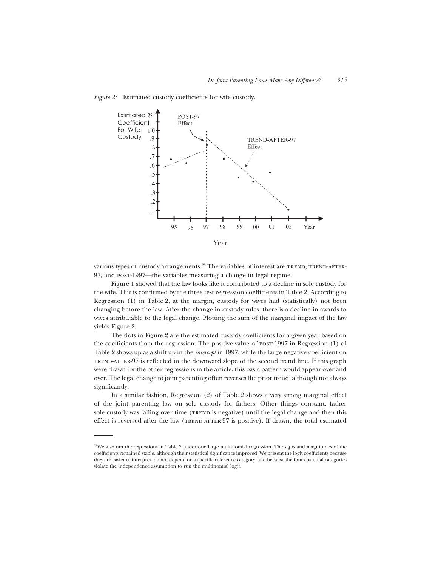

*Figure 2:* Estimated custody coefficients for wife custody.

various types of custody arrangements.<sup>28</sup> The variables of interest are TREND, TREND-AFTER-97, and post-1997—the variables measuring a change in legal regime.

Figure 1 showed that the law looks like it contributed to a decline in sole custody for the wife. This is confirmed by the three test regression coefficients in Table 2. According to Regression (1) in Table 2, at the margin, custody for wives had (statistically) not been changing before the law. After the change in custody rules, there is a decline in awards to wives attributable to the legal change. Plotting the sum of the marginal impact of the law yields Figure 2.

The dots in Figure 2 are the estimated custody coefficients for a given year based on the coefficients from the regression. The positive value of post-1997 in Regression (1) of Table 2 shows up as a shift up in the *intercept* in 1997, while the large negative coefficient on trend-after-97 is reflected in the downward slope of the second trend line. If this graph were drawn for the other regressions in the article, this basic pattern would appear over and over. The legal change to joint parenting often reverses the prior trend, although not always significantly.

In a similar fashion, Regression (2) of Table 2 shows a very strong marginal effect of the joint parenting law on sole custody for fathers. Other things constant, father sole custody was falling over time (TREND is negative) until the legal change and then this effect is reversed after the law (TREND-AFTER-97 is positive). If drawn, the total estimated

<sup>28</sup>We also ran the regressions in Table 2 under one large multinomial regression. The signs and magnitudes of the coefficients remained stable, although their statistical significance improved. We present the logit coefficients because they are easier to interpret, do not depend on a specific reference category, and because the four custodial categories violate the independence assumption to run the multinomial logit.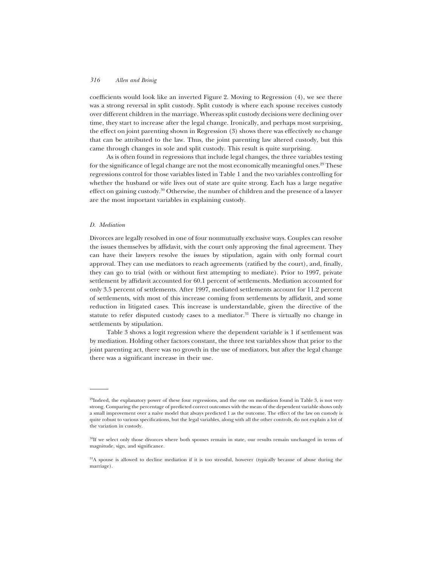coefficients would look like an inverted Figure 2. Moving to Regression (4), we see there was a strong reversal in split custody. Split custody is where each spouse receives custody over different children in the marriage. Whereas split custody decisions were declining over time, they start to increase after the legal change. Ironically, and perhaps most surprising, the effect on joint parenting shown in Regression (3) shows there was effectively *no* change that can be attributed to the law. Thus, the joint parenting law altered custody, but this came through changes in sole and split custody. This result is quite surprising.

As is often found in regressions that include legal changes, the three variables testing for the significance of legal change are not the most economically meaningful ones.<sup>29</sup> These regressions control for those variables listed in Table 1 and the two variables controlling for whether the husband or wife lives out of state are quite strong. Each has a large negative effect on gaining custody.30 Otherwise, the number of children and the presence of a lawyer are the most important variables in explaining custody.

#### *D. Mediation*

Divorces are legally resolved in one of four nonmutually exclusive ways. Couples can resolve the issues themselves by affidavit, with the court only approving the final agreement. They can have their lawyers resolve the issues by stipulation, again with only formal court approval. They can use mediators to reach agreements (ratified by the court), and, finally, they can go to trial (with or without first attempting to mediate). Prior to 1997, private settlement by affidavit accounted for 60.1 percent of settlements. Mediation accounted for only 3.5 percent of settlements. After 1997, mediated settlements account for 11.2 percent of settlements, with most of this increase coming from settlements by affidavit, and some reduction in litigated cases. This increase is understandable, given the directive of the statute to refer disputed custody cases to a mediator. $31$  There is virtually no change in settlements by stipulation.

Table 3 shows a logit regression where the dependent variable is 1 if settlement was by mediation. Holding other factors constant, the three test variables show that prior to the joint parenting act, there was no growth in the use of mediators, but after the legal change there was a significant increase in their use.

<sup>&</sup>lt;sup>29</sup>Indeed, the explanatory power of these four regressions, and the one on mediation found in Table 3, is not very strong. Comparing the percentage of predicted correct outcomes with the mean of the dependent variable shows only a small improvement over a naïve model that always predicted 1 as the outcome. The effect of the law on custody is quite robust to various specifications, but the legal variables, along with all the other controls, do not explain a lot of the variation in custody.

<sup>&</sup>lt;sup>30</sup>If we select only those divorces where both spouses remain in state, our results remain unchanged in terms of magnitude, sign, and significance.

<sup>&</sup>lt;sup>31</sup>A spouse is allowed to decline mediation if it is too stressful, however (typically because of abuse during the marriage).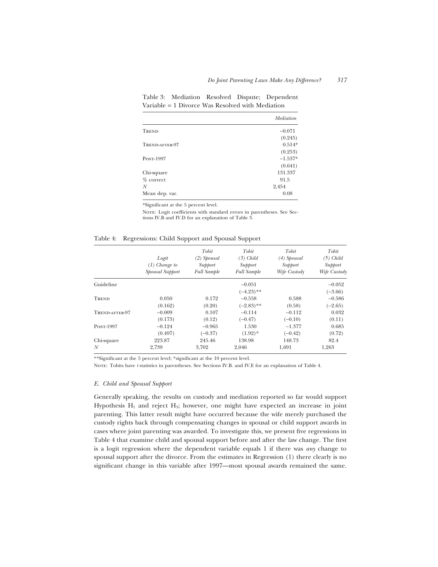## *Do Joint Parenting Laws Make Any Difference? 317*

|                                                  |  | Table 3: Mediation Resolved Dispute; Dependent |
|--------------------------------------------------|--|------------------------------------------------|
| Variable = 1 Divorce Was Resolved with Mediation |  |                                                |

|                | Mediation |
|----------------|-----------|
| <b>TREND</b>   | $-0.071$  |
|                | (0.245)   |
| TREND-AFTER-97 | $0.514*$  |
|                | (0.253)   |
| POST-1997      | $-1.537*$ |
|                | (0.641)   |
| Chi-square     | 131.337   |
| $%$ correct    | 91.5      |
| N              | 2,454     |
| Mean dep. var. | 0.08      |

\*Significant at the 5 percent level.

NOTE: Logit coefficients with standard errors in parentheses. See Sections IV.B and IV.D for an explanation of Table 3

| Table 4: | Regressions: Child Support and Spousal Support |  |  |  |  |  |
|----------|------------------------------------------------|--|--|--|--|--|
|----------|------------------------------------------------|--|--|--|--|--|

|                | Logit<br>$(1)$ Change to<br>Spousal Support | Tobit<br>(2) Spousal<br>Support<br><b>Full Sample</b> | Tobit<br>$(3)$ Child<br>Support<br><b>Full Sample</b> | Tobit<br>$(4)$ Spousal<br>Support<br>Wife Custody | Tobit<br>$(5)$ Child<br>Support<br>Wife Custody |
|----------------|---------------------------------------------|-------------------------------------------------------|-------------------------------------------------------|---------------------------------------------------|-------------------------------------------------|
| Guideline      |                                             |                                                       | $-0.051$                                              |                                                   | $-0.052$                                        |
|                |                                             |                                                       | $(-4.23)$ **                                          |                                                   | $(-3.66)$                                       |
| TREND          | 0.050                                       | 0.172                                                 | $-0.558$                                              | 0.588                                             | $-0.586$                                        |
|                | (0.162)                                     | (0.20)                                                | $(-2.83)$ **                                          | (0.58)                                            | $(-2.65)$                                       |
| TREND-AFTER-97 | $-0.009$                                    | 0.107                                                 | $-0.114$                                              | $-0.112$                                          | 0.032                                           |
|                | (0.173)                                     | (0.12)                                                | $(-0.47)$                                             | $(-0.10)$                                         | (0.11)                                          |
| POST-1997      | $-0.124$                                    | $-0.965$                                              | 1.530                                                 | $-1.377$                                          | 0.685                                           |
|                | (0.497)                                     | $(-0.37)$                                             | $(1.92)$ *                                            | $(-0.42)$                                         | (0.72)                                          |
| Chi-square     | 223.87                                      | 245.46                                                | 138.98                                                | 148.73                                            | 82.4                                            |
| N              | 2.739                                       | 3.702                                                 | 2.046                                                 | 1.691                                             | 1,263                                           |

\*\*Significant at the 5 percent level; \*significant at the 10 percent level.

NOTE: Tobits have *t* statistics in parentheses. See Sections IV.B. and IV.E for an explanation of Table 4.

#### *E. Child and Spousal Support*

Generally speaking, the results on custody and mediation reported so far would support Hypothesis H1 and reject H3; however, one might have expected an increase in joint parenting. This latter result might have occurred because the wife merely purchased the custody rights back through compensating changes in spousal or child support awards in cases where joint parenting was awarded. To investigate this, we present five regressions in Table 4 that examine child and spousal support before and after the law change. The first is a logit regression where the dependent variable equals 1 if there was *any* change to spousal support after the divorce. From the estimates in Regression (1) there clearly is no significant change in this variable after 1997—most spousal awards remained the same.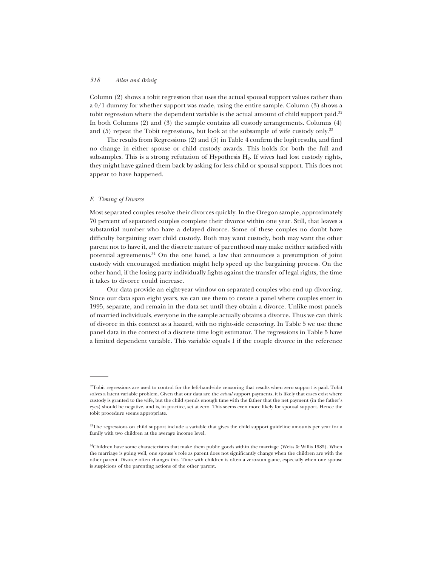Column (2) shows a tobit regression that uses the actual spousal support values rather than a 0/1 dummy for whether support was made, using the entire sample. Column (3) shows a tobit regression where the dependent variable is the actual amount of child support paid.<sup>32</sup> In both Columns (2) and (3) the sample contains all custody arrangements. Columns (4) and (5) repeat the Tobit regressions, but look at the subsample of wife custody only.<sup>33</sup>

The results from Regressions (2) and (5) in Table 4 confirm the logit results, and find no change in either spouse or child custody awards. This holds for both the full and subsamples. This is a strong refutation of Hypothesis  $H_2$ . If wives had lost custody rights, they might have gained them back by asking for less child or spousal support. This does not appear to have happened.

#### *F. Timing of Divorce*

Most separated couples resolve their divorces quickly. In the Oregon sample, approximately 70 percent of separated couples complete their divorce within one year. Still, that leaves a substantial number who have a delayed divorce. Some of these couples no doubt have difficulty bargaining over child custody. Both may want custody, both may want the other parent not to have it, and the discrete nature of parenthood may make neither satisfied with potential agreements.34 On the one hand, a law that announces a presumption of joint custody with encouraged mediation might help speed up the bargaining process. On the other hand, if the losing party individually fights against the transfer of legal rights, the time it takes to divorce could increase.

Our data provide an eight-year window on separated couples who end up divorcing. Since our data span eight years, we can use them to create a panel where couples enter in 1995, separate, and remain in the data set until they obtain a divorce. Unlike most panels of married individuals, everyone in the sample actually obtains a divorce. Thus we can think of divorce in this context as a hazard, with no right-side censoring. In Table 5 we use these panel data in the context of a discrete time logit estimator. The regressions in Table 5 have a limited dependent variable. This variable equals 1 if the couple divorce in the reference

 $32T$ obit regressions are used to control for the left-hand-side censoring that results when zero support is paid. Tobit solves a latent variable problem. Given that our data are the *actual* support payments, it is likely that cases exist where custody is granted to the wife, but the child spends enough time with the father that the net payment (in the father's eyes) should be negative, and is, in practice, set at zero. This seems even more likely for spousal support. Hence the tobit procedure seems appropriate.

<sup>&</sup>lt;sup>33</sup>The regressions on child support include a variable that gives the child support guideline amounts per year for a family with two children at the average income level.

<sup>34</sup>Children have some characteristics that make them public goods within the marriage (Weiss & Willis 1985). When the marriage is going well, one spouse's role as parent does not significantly change when the children are with the other parent. Divorce often changes this. Time with children is often a zero-sum game, especially when one spouse is suspicious of the parenting actions of the other parent.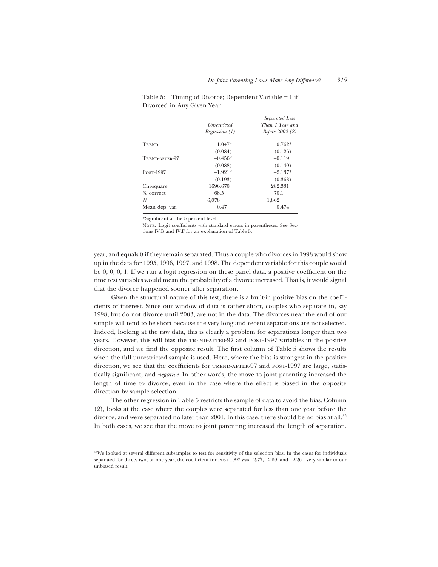|                | Unrestricted<br>Regression (1) | Separated Less<br>Than 1 Year and<br><i>Before 2002 (2)</i> |
|----------------|--------------------------------|-------------------------------------------------------------|
| TREND          | $1.047*$                       | $0.762*$                                                    |
|                | (0.084)                        | (0.126)                                                     |
| TREND-AFTER-97 | $-0.456*$                      | $-0.119$                                                    |
|                | (0.088)                        | (0.140)                                                     |
| POST-1997      | $-1.921*$                      | $-2.137*$                                                   |
|                | (0.193)                        | (0.368)                                                     |
| Chi-square     | 1696.670                       | 282.331                                                     |
| $%$ correct    | 68.5                           | 70.1                                                        |
| N              | 6.078                          | 1.862                                                       |
| Mean dep. var. | 0.47                           | 0.474                                                       |

Table 5: Timing of Divorce; Dependent Variable = 1 if Divorced in Any Given Year

\*Significant at the 5 percent level.

NOTE: Logit coefficients with standard errors in parentheses. See Sections IV.B and IV.F for an explanation of Table 5.

year, and equals 0 if they remain separated. Thus a couple who divorces in 1998 would show up in the data for 1995, 1996, 1997, and 1998. The dependent variable for this couple would be 0, 0, 0, 1. If we run a logit regression on these panel data, a positive coefficient on the time test variables would mean the probability of a divorce increased. That is, it would signal that the divorce happened sooner after separation.

Given the structural nature of this test, there is a built-in positive bias on the coefficients of interest. Since our window of data is rather short, couples who separate in, say 1998, but do not divorce until 2003, are not in the data. The divorces near the end of our sample will tend to be short because the very long and recent separations are not selected. Indeed, looking at the raw data, this is clearly a problem for separations longer than two years. However, this will bias the TREND-AFTER-97 and POST-1997 variables in the positive direction, and we find the opposite result. The first column of Table 5 shows the results when the full unrestricted sample is used. Here, where the bias is strongest in the positive direction, we see that the coefficients for TREND-AFTER-97 and POST-1997 are large, statistically significant, and *negative*. In other words, the move to joint parenting increased the length of time to divorce, even in the case where the effect is biased in the opposite direction by sample selection.

The other regression in Table 5 restricts the sample of data to avoid the bias. Column (2), looks at the case where the couples were separated for less than one year before the divorce, and were separated no later than 2001. In this case, there should be no bias at all.<sup>35</sup> In both cases, we see that the move to joint parenting increased the length of separation.

<sup>35</sup>We looked at several different subsamples to test for sensitivity of the selection bias. In the cases for individuals separated for three, two, or one year, the coefficient for post-1997 was  $-2.77$ ,  $-2.59$ , and  $-2.26$ —very similar to our unbiased result.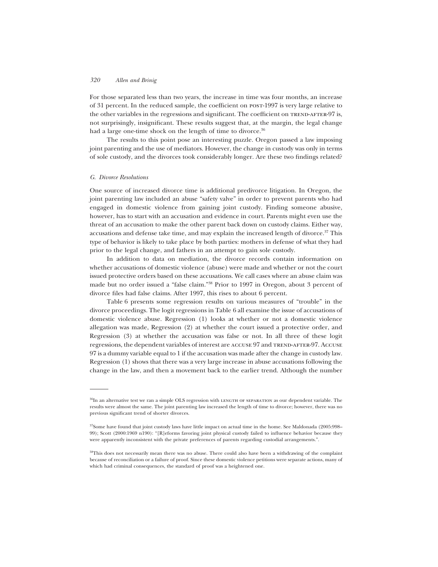For those separated less than two years, the increase in time was four months, an increase of 31 percent. In the reduced sample, the coefficient on post-1997 is very large relative to the other variables in the regressions and significant. The coefficient on TREND-AFTER-97 is, not surprisingly, insignificant. These results suggest that, at the margin, the legal change had a large one-time shock on the length of time to divorce.<sup>36</sup>

The results to this point pose an interesting puzzle. Oregon passed a law imposing joint parenting and the use of mediators. However, the change in custody was only in terms of sole custody, and the divorces took considerably longer. Are these two findings related?

#### *G. Divorce Resolutions*

One source of increased divorce time is additional predivorce litigation. In Oregon, the joint parenting law included an abuse "safety valve" in order to prevent parents who had engaged in domestic violence from gaining joint custody. Finding someone abusive, however, has to start with an accusation and evidence in court. Parents might even use the threat of an accusation to make the other parent back down on custody claims. Either way, accusations and defense take time, and may explain the increased length of divorce.<sup>37</sup> This type of behavior is likely to take place by both parties: mothers in defense of what they had prior to the legal change, and fathers in an attempt to gain sole custody.

In addition to data on mediation, the divorce records contain information on whether accusations of domestic violence (abuse) were made and whether or not the court issued protective orders based on these accusations. We call cases where an abuse claim was made but no order issued a "false claim."38 Prior to 1997 in Oregon, about 3 percent of divorce files had false claims. After 1997, this rises to about 6 percent.

Table 6 presents some regression results on various measures of "trouble" in the divorce proceedings. The logit regressions in Table 6 all examine the issue of accusations of domestic violence abuse. Regression (1) looks at whether or not a domestic violence allegation was made, Regression (2) at whether the court issued a protective order, and Regression (3) at whether the accusation was false or not. In all three of these logit regressions, the dependent variables of interest are  $\alpha$  accuse 97 and TREND-AFTER-97. Accuse 97 is a dummy variable equal to 1 if the accusation was made after the change in custody law. Regression (1) shows that there was a very large increase in abuse accusations following the change in the law, and then a movement back to the earlier trend. Although the number

<sup>&</sup>lt;sup>36</sup>In an alternative test we ran a simple OLS regression with LENGTH OF SEPARATION as our dependent variable. The results were almost the same. The joint parenting law increased the length of time to divorce; however, there was no previous significant trend of shorter divorces.

<sup>&</sup>lt;sup>37</sup>Some have found that joint custody laws have little impact on actual time in the home. See Maldonada (2005:998– 99); Scott (2000:1969 n190): "[R]eforms favoring joint physical custody failed to influence behavior because they were apparently inconsistent with the private preferences of parents regarding custodial arrangements.".

<sup>38</sup>This does not necessarily mean there was no abuse. There could also have been a withdrawing of the complaint because of reconciliation or a failure of proof. Since these domestic violence petitions were separate actions, many of which had criminal consequences, the standard of proof was a heightened one.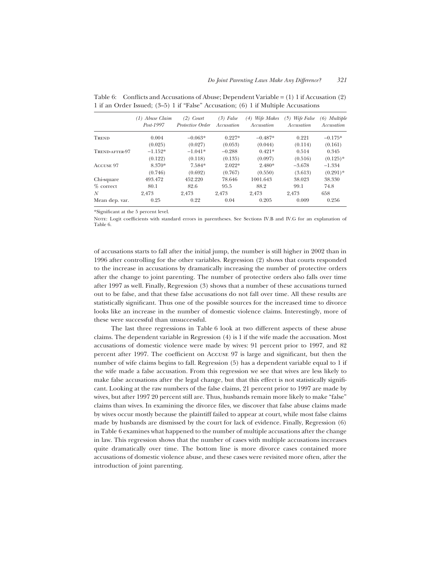|                | (1) Abuse Claim<br>Post-1997 | $(2)$ Court<br>Protective Order | $(3)$ False<br>Accusation | Wife Makes<br>(4)<br>Accusation | $(5)$ Wife False<br>Accusation | $(6)$ Multiple<br>Accusation |
|----------------|------------------------------|---------------------------------|---------------------------|---------------------------------|--------------------------------|------------------------------|
| TREND          | 0.004                        | $-0.063*$                       | $0.227*$                  | $-0.487*$                       | 0.221                          | $-0.175*$                    |
|                | (0.025)                      | (0.027)                         | (0.053)                   | (0.044)                         | (0.114)                        | (0.161)                      |
| TREND-AFTER-97 | $-1.152*$                    | $-1.041*$                       | $-0.288$                  | $0.421*$                        | 0.514                          | 0.345                        |
|                | (0.122)                      | (0.118)                         | (0.135)                   | (0.097)                         | (0.516)                        | $(0.125)$ *                  |
| ACCUSE 97      | 8.370*                       | 7.584*                          | $2.022*$                  | 2.480*                          | $-3.678$                       | $-1.334$                     |
|                | (0.746)                      | (0.692)                         | (0.767)                   | (0.550)                         | (3.613)                        | $(0.291)$ *                  |
| Chi-square     | 493.472                      | 452.220                         | 78.646                    | 1001.643                        | 38.023                         | 38.330                       |
| $%$ correct    | 80.1                         | 82.6                            | 95.5                      | 88.2                            | 99.1                           | 74.8                         |
| N              | 2.473                        | 2.473                           | 2.473                     | 2.473                           | 2.473                          | 658                          |
| Mean dep. var. | 0.25                         | 0.22                            | 0.04                      | 0.205                           | 0.009                          | 0.256                        |

Table 6: Conflicts and Accusations of Abuse; Dependent Variable = (1) 1 if Accusation (2) 1 if an Order Issued; (3–5) 1 if "False" Accusation; (6) 1 if Multiple Accusations

\*Significant at the 5 percent level.

Note: Logit coefficients with standard errors in parentheses. See Sections IV.B and IV.G for an explanation of Table 6.

of accusations starts to fall after the initial jump, the number is still higher in 2002 than in 1996 after controlling for the other variables. Regression (2) shows that courts responded to the increase in accusations by dramatically increasing the number of protective orders after the change to joint parenting. The number of protective orders also falls over time after 1997 as well. Finally, Regression (3) shows that a number of these accusations turned out to be false, and that these false accusations do not fall over time. All these results are statistically significant. Thus one of the possible sources for the increased time to divorce looks like an increase in the number of domestic violence claims. Interestingly, more of these were successful than unsuccessful.

The last three regressions in Table 6 look at two different aspects of these abuse claims. The dependent variable in Regression (4) is 1 if the wife made the accusation. Most accusations of domestic violence were made by wives: 91 percent prior to 1997, and 82 percent after 1997. The coefficient on Accuse 97 is large and significant, but then the number of wife claims begins to fall. Regression (5) has a dependent variable equal to 1 if the wife made a false accusation. From this regression we see that wives are less likely to make false accusations after the legal change, but that this effect is not statistically significant. Looking at the raw numbers of the false claims, 21 percent prior to 1997 are made by wives, but after 1997 20 percent still are. Thus, husbands remain more likely to make "false" claims than wives. In examining the divorce files, we discover that false abuse claims made by wives occur mostly because the plaintiff failed to appear at court, while most false claims made by husbands are dismissed by the court for lack of evidence. Finally, Regression (6) in Table 6 examines what happened to the number of multiple accusations after the change in law. This regression shows that the number of cases with multiple accusations increases quite dramatically over time. The bottom line is more divorce cases contained more accusations of domestic violence abuse, and these cases were revisited more often, after the introduction of joint parenting.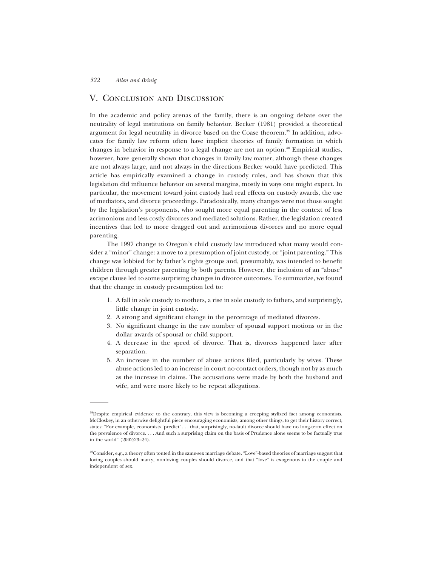# V. Conclusion and Discussion

In the academic and policy arenas of the family, there is an ongoing debate over the neutrality of legal institutions on family behavior. Becker (1981) provided a theoretical argument for legal neutrality in divorce based on the Coase theorem.39 In addition, advocates for family law reform often have implicit theories of family formation in which changes in behavior in response to a legal change are not an option.40 Empirical studies, however, have generally shown that changes in family law matter, although these changes are not always large, and not always in the directions Becker would have predicted. This article has empirically examined a change in custody rules, and has shown that this legislation did influence behavior on several margins, mostly in ways one might expect. In particular, the movement toward joint custody had real effects on custody awards, the use of mediators, and divorce proceedings. Paradoxically, many changes were not those sought by the legislation's proponents, who sought more equal parenting in the context of less acrimonious and less costly divorces and mediated solutions. Rather, the legislation created incentives that led to more dragged out and acrimonious divorces and no more equal parenting.

The 1997 change to Oregon's child custody law introduced what many would consider a "minor" change: a move to a presumption of joint custody, or "joint parenting." This change was lobbied for by father's rights groups and, presumably, was intended to benefit children through greater parenting by both parents. However, the inclusion of an "abuse" escape clause led to some surprising changes in divorce outcomes. To summarize, we found that the change in custody presumption led to:

- 1. A fall in sole custody to mothers, a rise in sole custody to fathers, and surprisingly, little change in joint custody.
- 2. A strong and significant change in the percentage of mediated divorces.
- 3. No significant change in the raw number of spousal support motions or in the dollar awards of spousal or child support.
- 4. A decrease in the speed of divorce. That is, divorces happened later after separation.
- 5. An increase in the number of abuse actions filed, particularly by wives. These abuse actions led to an increase in court no-contact orders, though not by as much as the increase in claims. The accusations were made by both the husband and wife, and were more likely to be repeat allegations.

<sup>&</sup>lt;sup>39</sup>Despite empirical evidence to the contrary, this view is becoming a creeping stylized fact among economists. McCloskey, in an otherwise delightful piece encouraging economists, among other things, to get their history correct, states: "For example, economists 'predict' . . . that, surprisingly, no-fault divorce should have no long-term effect on the prevalence of divorce. . . . And such a surprising claim on the basis of Prudence alone seems to be factually true in the world" (2002:23–24).

<sup>40</sup>Consider, e.g., a theory often touted in the same-sex marriage debate. "Love"-based theories of marriage suggest that loving couples should marry, nonloving couples should divorce, and that "love" is exogenous to the couple and independent of sex.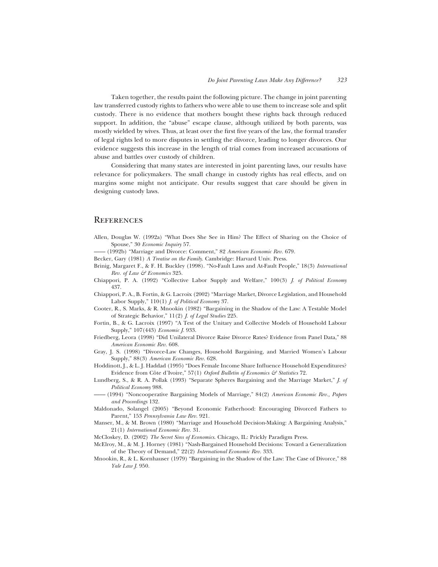Taken together, the results paint the following picture. The change in joint parenting law transferred custody rights to fathers who were able to use them to increase sole and split custody. There is no evidence that mothers bought these rights back through reduced support. In addition, the "abuse" escape clause, although utilized by both parents, was mostly wielded by wives. Thus, at least over the first five years of the law, the formal transfer of legal rights led to more disputes in settling the divorce, leading to longer divorces. Our evidence suggests this increase in the length of trial comes from increased accusations of abuse and battles over custody of children.

Considering that many states are interested in joint parenting laws, our results have relevance for policymakers. The small change in custody rights has real effects, and on margins some might not anticipate. Our results suggest that care should be given in designing custody laws.

# **REFERENCES**

- Allen, Douglas W. (1992a) "What Does She See in Him? The Effect of Sharing on the Choice of Spouse," 30 *Economic Inquiry* 57.
- —— (1992b) "Marriage and Divorce: Comment," 82 *American Economic Rev.* 679.
- Becker, Gary (1981) *A Treatise on the Family*. Cambridge: Harvard Univ. Press.
- Brinig, Margaret F., & F. H. Buckley (1998). "No-Fault Laws and At-Fault People," 18(3) *International Rev. of Law & Economics* 325.
- Chiappori, P. A. (1992) "Collective Labor Supply and Welfare," 100(3) *J. of Political Economy* 437.
- Chiappori, P. A., B. Fortin, & G. Lacroix (2002) "Marriage Market, Divorce Legislation, and Household Labor Supply," 110(1) *J. of Political Economy* 37.
- Cooter, R., S. Marks, & R. Mnookin (1982) "Bargaining in the Shadow of the Law: A Testable Model of Strategic Behavior," 11(2) *J. of Legal Studies* 225.
- Fortin, B., & G. Lacroix (1997) "A Test of the Unitary and Collective Models of Household Labour Supply," 107(443) *Economic J.* 933.
- Friedberg, Leora (1998) "Did Unilateral Divorce Raise Divorce Rates? Evidence from Panel Data," 88 *American Economic Rev.* 608.
- Gray, J. S. (1998) "Divorce-Law Changes, Household Bargaining, and Married Women's Labour Supply," 88(3) *American Economic Rev.* 628.
- Hoddinott, J., & L. J. Haddad (1995) "Does Female Income Share Influence Household Expenditures? Evidence from Côte d'Ivoire," 57(1) *Oxford Bulletin of Economics & Statistics* 72.
- Lundberg, S., & R. A. Pollak (1993) "Separate Spheres Bargaining and the Marriage Market," *J. of Political Economy* 988.
- —— (1994) "Noncooperative Bargaining Models of Marriage," 84(2) *American Economic Rev., Papers and Proceedings* 132.
- Maldonado, Solangel (2005) "Beyond Economic Fatherhood: Encouraging Divorced Fathers to Parent," 153 *Pennsylvania Law Rev.* 921.
- Manser, M., & M. Brown (1980) "Marriage and Household Decision-Making: A Bargaining Analysis," 21(1) *International Economic Rev.* 31.
- McCloskey, D. (2002) *The Secret Sins of Economics*. Chicago, IL: Prickly Paradigm Press.
- McElroy, M., & M. J. Horney (1981) "Nash-Bargained Household Decisions: Toward a Generalization of the Theory of Demand," 22(2) *International Economic Rev.* 333.
- Mnookin, R., & L. Kornhauser (1979) "Bargaining in the Shadow of the Law: The Case of Divorce," 88 *Yale Law J.* 950.